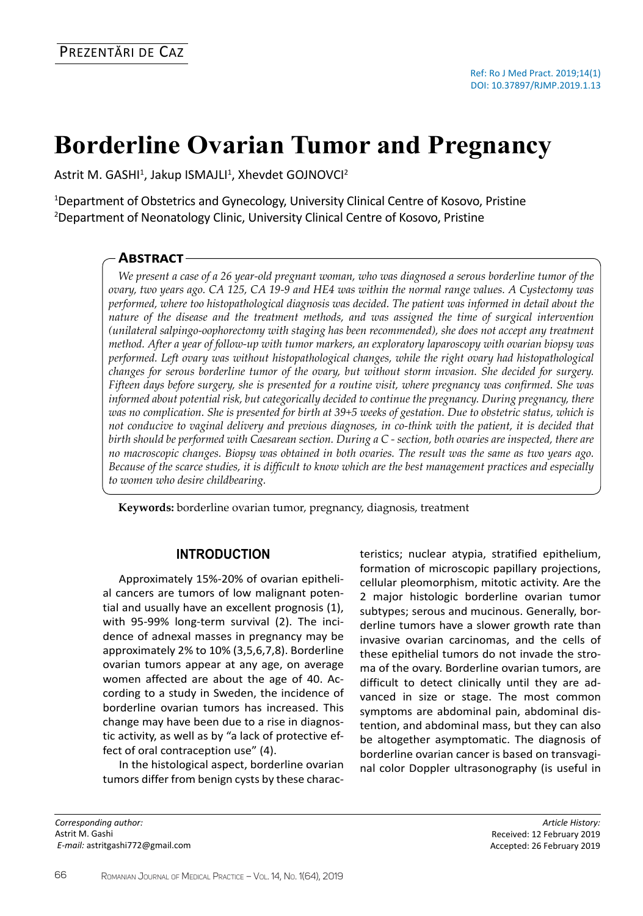# **Borderline Ovarian Tumor and Pregnancy**

Astrit M. GASHI<sup>1</sup>, Jakup ISMAJLI<sup>1</sup>, Xhevdet GOJNOVCI<sup>2</sup>

<sup>1</sup>Department of Obstetrics and Gynecology, University Clinical Centre of Kosovo, Pristine <sup>2</sup>Department of Neonatology Clinic, University Clinical Centre of Kosovo, Pristine

#### **Abstract**

*We present a case of a 26 year-old pregnant woman, who was diagnosed a serous borderline tumor of the ovary, two years ago. CA 125, CA 19-9 and HE4 was within the normal range values. A Cystectomy was performed, where too histopathological diagnosis was decided. The patient was informed in detail about the nature of the disease and the treatment methods, and was assigned the time of surgical intervention (unilateral salpingo-oophorectomy with staging has been recommended), she does not accept any treatment method. After a year of follow-up with tumor markers, an exploratory laparoscopy with ovarian biopsy was performed. Left ovary was without histopathological changes, while the right ovary had histopathological changes for serous borderline tumor of the ovary, but without storm invasion. She decided for surgery. Fifteen days before surgery, she is presented for a routine visit, where pregnancy was confirmed. She was informed about potential risk, but categorically decided to continue the pregnancy. During pregnancy, there was no complication. She is presented for birth at 39+5 weeks of gestation. Due to obstetric status, which is not conducive to vaginal delivery and previous diagnoses, in co-think with the patient, it is decided that*  birth should be performed with Caesarean section. During a C - section, both ovaries are inspected, there are *no macroscopic changes. Biopsy was obtained in both ovaries. The result was the same as two years ago. Because of the scarce studies, it is difficult to know which are the best management practices and especially to women who desire childbearing.*

**Keywords:** borderline ovarian tumor, pregnancy, diagnosis, treatment

## **INTRODUCTION**

Approximately 15%-20% of ovarian epithelial cancers are tumors of low malignant potential and usually have an excellent prognosis (1), with 95-99% long-term survival (2). The incidence of adnexal masses in pregnancy may be approximately 2% to 10% (3,5,6,7,8). Borderline ovarian tumors appear at any age, on average women affected are about the age of 40. According to a study in Sweden, the incidence of borderline ovarian tumors has increased. This change may have been due to a rise in diagnostic activity, as well as by "a lack of protective effect of oral contraception use" (4).

In the histological aspect, borderline ovarian tumors differ from benign cysts by these characteristics; nuclear atypia, stratified epithelium, formation of microscopic papillary projections, cellular pleomorphism, mitotic activity. Are the 2 major histologic borderline ovarian tumor subtypes; serous and mucinous. Generally, borderline tumors have a slower growth rate than invasive ovarian carcinomas, and the cells of these epithelial tumors do not invade the stroma of the ovary. Borderline ovarian tumors, are difficult to detect clinically until they are advanced in size or stage. The most common symptoms are abdominal pain, abdominal distention, and abdominal mass, but they can also be altogether asymptomatic. The diagnosis of borderline ovarian cancer is based on transvaginal color Doppler ultrasonography (is useful in

*Article History:* Received: 12 February 2019 Accepted: 26 February 2019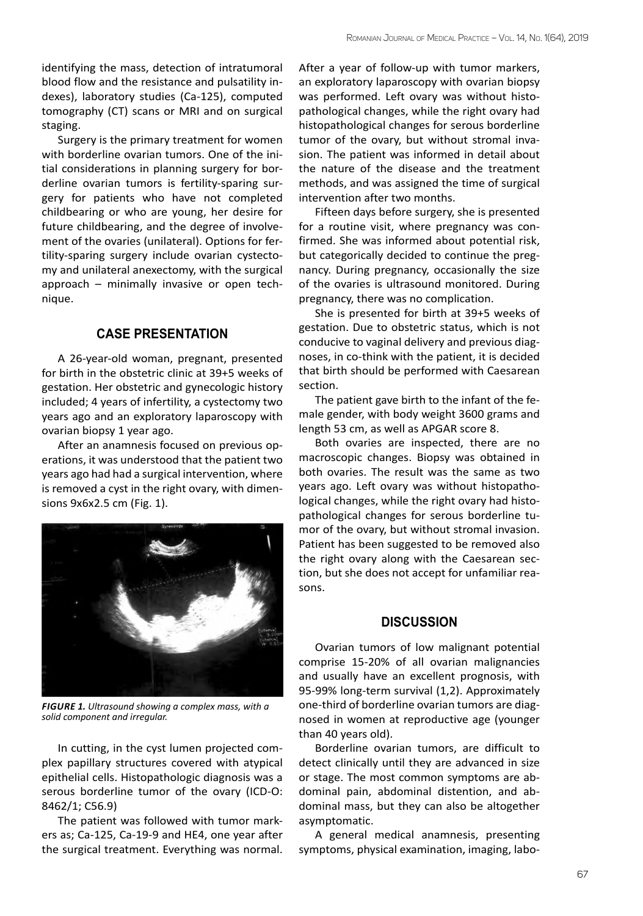identifying the mass, detection of intratumoral blood flow and the resistance and pulsatility indexes), laboratory studies (Ca-125), computed tomography (CT) scans or MRI and on surgical staging.

Surgery is the primary treatment for women with borderline ovarian tumors. One of the initial considerations in planning surgery for borderline ovarian tumors is fertility-sparing surgery for patients who have not completed childbearing or who are young, her desire for future childbearing, and the degree of involvement of the ovaries (unilateral). Options for fertility-sparing surgery include ovarian cystectomy and unilateral anexectomy, with the surgical approach – minimally invasive or open technique.

## **CASE PRESENTATION**

A 26-year-old woman, pregnant, presented for birth in the obstetric clinic at 39+5 weeks of gestation. Her obstetric and gynecologic history included; 4 years of infertility, a cystectomy two years ago and an exploratory laparoscopy with ovarian biopsy 1 year ago.

After an anamnesis focused on previous operations, it was understood that the patient two years ago had had a surgical intervention, where is removed a cyst in the right ovary, with dimensions 9x6x2.5 cm (Fig. 1).



*Figure 1. Ultrasound showing a complex mass, with a solid component and irregular.*

In cutting, in the cyst lumen projected complex papillary structures covered with atypical epithelial cells. Histopathologic diagnosis was a serous borderline tumor of the ovary (ICD-O: 8462/1; C56.9)

The patient was followed with tumor markers as; Ca-125, Ca-19-9 and HE4, one year after the surgical treatment. Everything was normal.

After a year of follow-up with tumor markers, an exploratory laparoscopy with ovarian biopsy was performed. Left ovary was without histopathological changes, while the right ovary had histopathological changes for serous borderline tumor of the ovary, but without stromal invasion. The patient was informed in detail about the nature of the disease and the treatment methods, and was assigned the time of surgical intervention after two months.

Fifteen days before surgery, she is presented for a routine visit, where pregnancy was confirmed. She was informed about potential risk, but categorically decided to continue the pregnancy. During pregnancy, occasionally the size of the ovaries is ultrasound monitored. During pregnancy, there was no complication.

She is presented for birth at 39+5 weeks of gestation. Due to obstetric status, which is not conducive to vaginal delivery and previous diagnoses, in co-think with the patient, it is decided that birth should be performed with Caesarean section.

The patient gave birth to the infant of the female gender, with body weight 3600 grams and length 53 cm, as well as APGAR score 8.

Both ovaries are inspected, there are no macroscopic changes. Biopsy was obtained in both ovaries. The result was the same as two years ago. Left ovary was without histopathological changes, while the right ovary had histopathological changes for serous borderline tumor of the ovary, but without stromal invasion. Patient has been suggested to be removed also the right ovary along with the Caesarean section, but she does not accept for unfamiliar reasons.

## **DISCUSSION**

Ovarian tumors of low malignant potential comprise 15-20% of all ovarian malignancies and usually have an excellent prognosis, with 95-99% long-term survival (1,2). Approximately one-third of borderline ovarian tumors are diagnosed in women at reproductive age (younger than 40 years old).

Borderline ovarian tumors, are difficult to detect clinically until they are advanced in size or stage. The most common symptoms are abdominal pain, abdominal distention, and abdominal mass, but they can also be altogether asymptomatic.

A general medical anamnesis, presenting symptoms, physical examination, imaging, labo